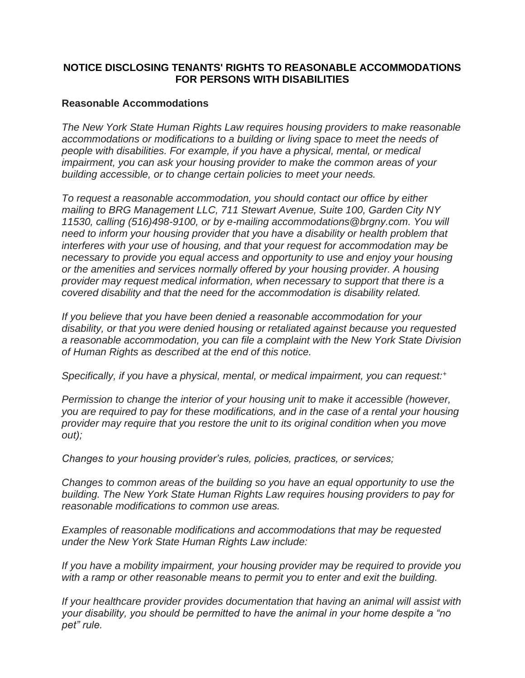## **NOTICE DISCLOSING TENANTS' RIGHTS TO REASONABLE ACCOMMODATIONS FOR PERSONS WITH DISABILITIES**

## **Reasonable Accommodations**

*The New York State Human Rights Law requires housing providers to make reasonable accommodations or modifications to a building or living space to meet the needs of people with disabilities. For example, if you have a physical, mental, or medical impairment, you can ask your housing provider to make the common areas of your building accessible, or to change certain policies to meet your needs.*

*To request a reasonable accommodation, you should contact our office by either mailing to BRG Management LLC, 711 Stewart Avenue, Suite 100, Garden City NY 11530, calling (516)498-9100, or by e-mailing accommodations@brgny.com. You will need to inform your housing provider that you have a disability or health problem that interferes with your use of housing, and that your request for accommodation may be necessary to provide you equal access and opportunity to use and enjoy your housing or the amenities and services normally offered by your housing provider. A housing provider may request medical information, when necessary to support that there is a covered disability and that the need for the accommodation is disability related.*

*If you believe that you have been denied a reasonable accommodation for your disability, or that you were denied housing or retaliated against because you requested a reasonable accommodation, you can file a complaint with the New York State Division of Human Rights as described at the end of this notice.*

*Specifically, if you have a physical, mental, or medical impairment, you can request:<sup>+</sup>*

*Permission to change the interior of your housing unit to make it accessible (however, you are required to pay for these modifications, and in the case of a rental your housing provider may require that you restore the unit to its original condition when you move out);*

*Changes to your housing provider's rules, policies, practices, or services;*

*Changes to common areas of the building so you have an equal opportunity to use the building. The New York State Human Rights Law requires housing providers to pay for reasonable modifications to common use areas.*

*Examples of reasonable modifications and accommodations that may be requested under the New York State Human Rights Law include:*

*If you have a mobility impairment, your housing provider may be required to provide you with a ramp or other reasonable means to permit you to enter and exit the building.*

*If your healthcare provider provides documentation that having an animal will assist with your disability, you should be permitted to have the animal in your home despite a "no pet" rule.*